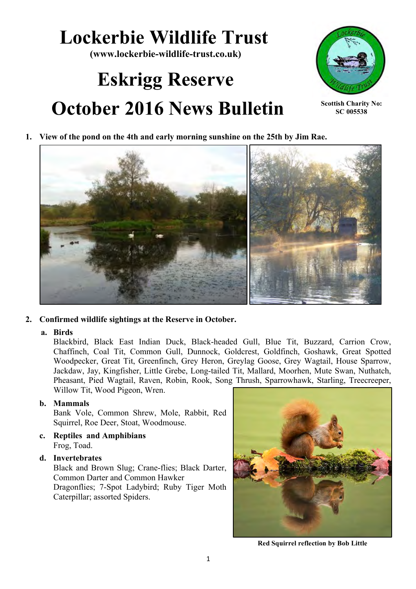# **Lockerbie Wildlife Trust**

**(www.lockerbie-wildlife-trust.co.uk)**

# **Eskrigg Reserve October 2016 News Bulletin**



**Scottish Charity No: SC 005538**

**1. View of the pond on the 4th and early morning sunshine on the 25th by Jim Rae.**



# **2. Confirmed wildlife sightings at the Reserve in October.**

# **a. Birds**

Blackbird, Black East Indian Duck, Black-headed Gull, Blue Tit, Buzzard, Carrion Crow, Chaffinch, Coal Tit, Common Gull, Dunnock, Goldcrest, Goldfinch, Goshawk, Great Spotted Woodpecker, Great Tit, Greenfinch, Grey Heron, Greylag Goose, Grey Wagtail, House Sparrow, Jackdaw, Jay, Kingfisher, Little Grebe, Long-tailed Tit, Mallard, Moorhen, Mute Swan, Nuthatch, Pheasant, Pied Wagtail, Raven, Robin, Rook, Song Thrush, Sparrowhawk, Starling, Treecreeper, Willow Tit, Wood Pigeon, Wren.

# **b. Mammals**

Bank Vole, Common Shrew, Mole, Rabbit, Red Squirrel, Roe Deer, Stoat, Woodmouse.

**c. Reptiles and Amphibians**  Frog, Toad.

# **d. Invertebrates**

Black and Brown Slug; Crane-flies; Black Darter, Common Darter and Common Hawker Dragonflies; 7-Spot Ladybird; Ruby Tiger Moth Caterpillar; assorted Spiders.



**Red Squirrel reflection by Bob Little**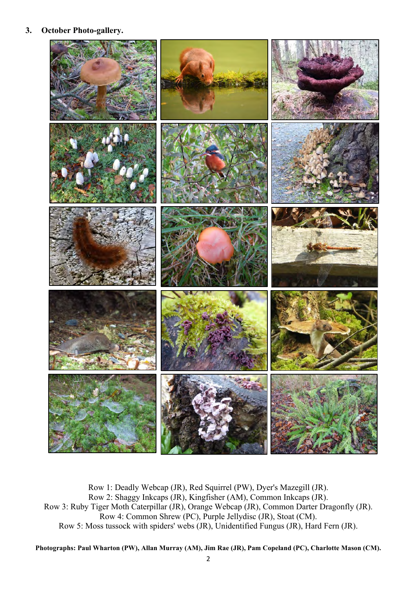## **3. October Photo-gallery.**



Row 1: Deadly Webcap (JR), Red Squirrel (PW), Dyer's Mazegill (JR). Row 2: Shaggy Inkcaps (JR), Kingfisher (AM), Common Inkcaps (JR). Row 3: Ruby Tiger Moth Caterpillar (JR), Orange Webcap (JR), Common Darter Dragonfly (JR). Row 4: Common Shrew (PC), Purple Jellydisc (JR), Stoat (CM). Row 5: Moss tussock with spiders' webs (JR), Unidentified Fungus (JR), Hard Fern (JR).

**Photographs: Paul Wharton (PW), Allan Murray (AM), Jim Rae (JR), Pam Copeland (PC), Charlotte Mason (CM).**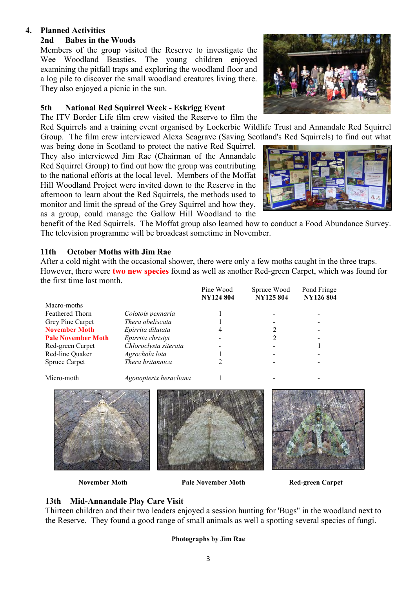# **4. Planned Activities**

# **2nd Babes in the Woods**

Members of the group visited the Reserve to investigate the Wee Woodland Beasties. The young children enjoyed examining the pitfall traps and exploring the woodland floor and a log pile to discover the small woodland creatures living there. They also enjoyed a picnic in the sun.

# **5th National Red Squirrel Week - Eskrigg Event**

The ITV Border Life film crew visited the Reserve to film the

Red Squirrels and a training event organised by Lockerbie Wildlife Trust and Annandale Red Squirrel Group. The film crew interviewed Alexa Seagrave (Saving Scotland's Red Squirrels) to find out what

was being done in Scotland to protect the native Red Squirrel. They also interviewed Jim Rae (Chairman of the Annandale Red Squirrel Group) to find out how the group was contributing to the national efforts at the local level. Members of the Moffat Hill Woodland Project were invited down to the Reserve in the afternoon to learn about the Red Squirrels, the methods used to monitor and limit the spread of the Grey Squirrel and how they, as a group, could manage the Gallow Hill Woodland to the





benefit of the Red Squirrels. The Moffat group also learned how to conduct a Food Abundance Survey. The television programme will be broadcast sometime in November.

# **11th October Moths with Jim Rae**

After a cold night with the occasional shower, there were only a few moths caught in the three traps. However, there were **two new species** found as well as another Red-green Carpet, which was found for the first time last month.

|                           |                        | Pine Wood<br><b>NY124 804</b> | Spruce Wood<br><b>NY125 804</b> | Pond Fringe<br><b>NY126 804</b> |
|---------------------------|------------------------|-------------------------------|---------------------------------|---------------------------------|
| Macro-moths               |                        |                               |                                 |                                 |
| Feathered Thorn           | Colotois pennaria      |                               |                                 |                                 |
| Grey Pine Carpet          | Thera obeliscata       |                               |                                 |                                 |
| <b>November Moth</b>      | Epirrita dilutata      | 4                             |                                 |                                 |
| <b>Pale November Moth</b> | Epirrita christyi      |                               |                                 |                                 |
| Red-green Carpet          | Chloroclysta siterata  |                               |                                 |                                 |
| Red-line Quaker           | Agrochola lota         |                               |                                 |                                 |
| Spruce Carpet             | Thera britannica       |                               |                                 |                                 |
| Micro-moth                | Agonopterix heracliana |                               |                                 |                                 |



 **November Moth Pale November Moth Red-green Carpet**

# **13th Mid-Annandale Play Care Visit**

Thirteen children and their two leaders enjoyed a session hunting for 'Bugs" in the woodland next to the Reserve. They found a good range of small animals as well a spotting several species of fungi.

### **Photographs by Jim Rae**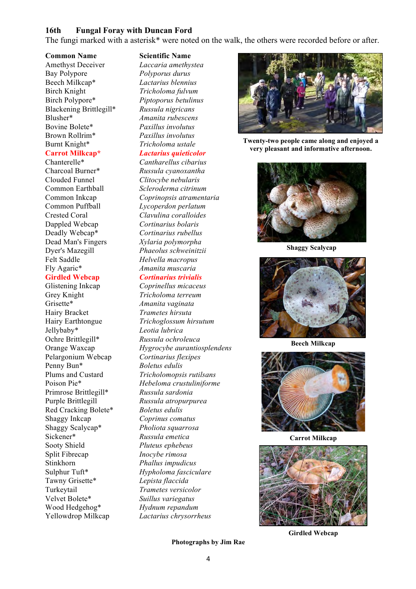### **16th Fungal Foray with Duncan Ford**

The fungi marked with a asterisk\* were noted on the walk, the others were recorded before or after.

Amethyst Deceiver *Laccaria amethystea* Bay Polypore *Polyporus durus* Beech Milkcap\* *Lactarius blennius* Birch Knight *Tricholoma fulvum* Birch Polypore\* *Piptoporus betulinus* Blackening Brittlegill\* *Russula nigricans* Blusher\* *Amanita rubescens* Bovine Bolete\* *Paxillus involutus* Brown Rollrim\* *Paxillus involutus* Burnt Knight\* *Tricholoma ustale*

Chanterelle\* *Cantharellus cibarius* Clouded Funnel *Clitocybe nebularis* Dappled Webcap *Cortinarius bolaris* Felt Saddle *Helvella macropus* Fly Agaric\* *Amanita muscaria*

Glistening Inkcap *Coprinellus micaceus* Grey Knight *Tricholoma terreum* Grisette\* *Amanita vaginata* Hairy Bracket *Trametes hirsuta* Jellybaby\* *Leotia lubrica* Ochre Brittlegill\* *Russula ochroleuca* Pelargonium Webcap *Cortinarius flexipes* Penny Bun\* *Boletus edulis* Primrose Brittlegill\* *Russula sardonia* Purple Brittlegill *Russula atropurpurea* Red Cracking Bolete\* *Boletus edulis* Shaggy Inkcap *Coprinus comatus* Shaggy Scalycap\* *Pholiota squarrosa* Sickener\* *Russula emetica* Sooty Shield *Pluteus ephebeus* Split Fibrecap *Inocybe rimosa* Stinkhorn *Phallus impudicus* Tawny Grisette\* *Lepista flaccida* Turkeytail *Trametes versicolor* Velvet Bolete\* *Suillus variegatus* Wood Hedgehog\* *Hydnum repandum*  Yellowdrop Milkcap *Lactarius chrysorrheus*

#### **Common Name Scientific Name**

**Carrot Milkcap\*** *Lactarius quieticolor*

# Charcoal Burner\* *Russula cyanoxantha* Common Earthball *Scleroderma citrinum* Common Inkcap *Coprinopsis atramentaria* Common Puffball *Lycoperdon perlatum* Crested Coral *Clavulina coralloides* Deadly Webcap\* *Cortinarius rubellus* Dead Man's Fingers *Xylaria polymorpha* Dyer's Mazegill *Phaeolus schweinitzii*

#### **Girdled Webcap** *Cortinarius trivialis*

Hairy Earthtongue *Trichoglossum hirsutum* Orange Waxcap *Hygrocybe aurantiosplendens* Plums and Custard *Tricholomopsis rutilsans* Poison Pie\* *Hebeloma crustuliniforme* Sulphur Tuft\* *Hypholoma fasciculare*



**Twenty-two people came along and enjoyed a very pleasant and informative afternoon.**



**Shaggy Scalycap**



**Beech Milkcap**



**Carrot Milkcap**



**Girdled Webcap**

#### **Photographs by Jim Rae**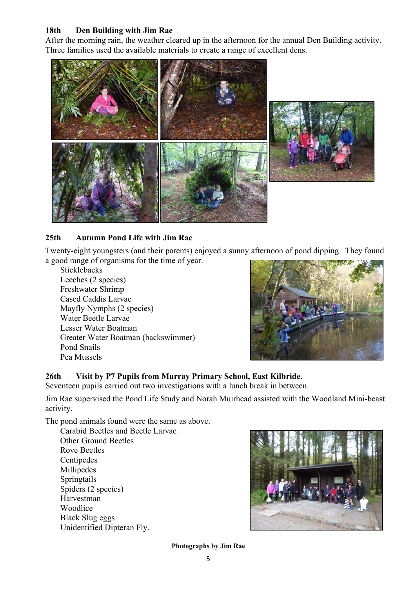# **18th Den Building with Jim Rae**

After the morning rain, the weather cleared up in the afternoon for the annual Den Building activity. Three families used the available materials to create a range of excellent dens.



# **25th Autumn Pond Life with Jim Rae**

Twenty-eight youngsters (and their parents) enjoyed a sunny afternoon of pond dipping. They found a good range of organisms for the time of year.

Sticklebacks Leeches (2 species) Freshwater Shrimp Cased Caddis Larvae Mayfly Nymphs (2 species) Water Beetle Larvae Lesser Water Boatman Greater Water Boatman (backswimmer) Pond Snails Pea Mussels



# **26th Visit by P7 Pupils from Murray Primary School, East Kilbride.**

Seventeen pupils carried out two investigations with a lunch break in between.

Jim Rae supervised the Pond Life Study and Norah Muirhead assisted with the Woodland Mini-beast activity.

The pond animals found were the same as above.

Carabid Beetles and Beetle Larvae Other Ground Beetles Rove Beetles Centipedes Millipedes Springtails Spiders (2 species) Harvestman Woodlice Black Slug eggs Unidentified Dipteran Fly.



**Photographs by Jim Rae**